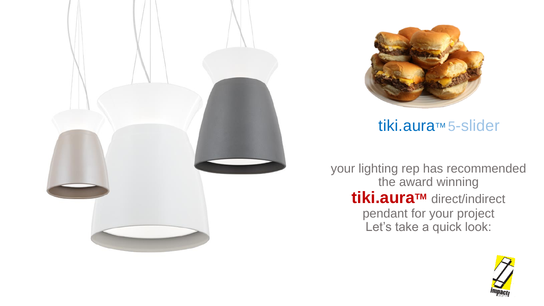



# tiki.aura™ 5-slider

your lighting rep has recommended the award winning **tiki.auraTM** direct/indirect pendant for your project Let's take a quick look:

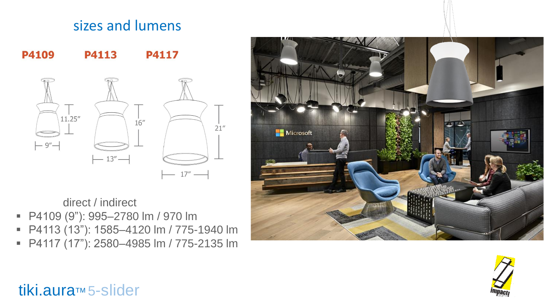## sizes and lumens



direct / indirect

- P4109 (9"): 995-2780 lm / 970 lm
- P4113 (13"): 1585-4120 lm / 775-1940 lm
- P4117 (17"): 2580–4985 lm / 775-2135 lm





## tiki.aura™ 5-slider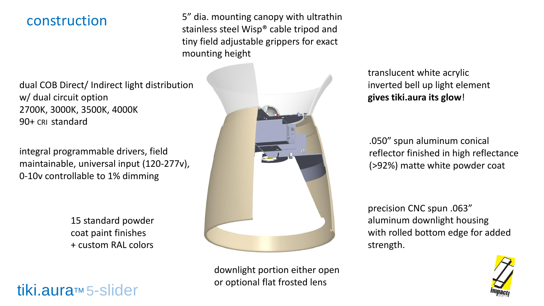#### construction

5" dia. mounting canopy with ultrathin stainless steel Wisp® cable tripod and tiny field adjustable grippers for exact mounting height

dual COB Direct/ Indirect light distribution w/ dual circuit option 2700K, 3000K, 3500K, 4000K 90+ CRI standard

integral programmable drivers, field maintainable, universal input (120-277v), 0-10v controllable to 1% dimming

> 15 standard powder coat paint finishes + custom RAL colors

tiki.aura™ 5-slider



downlight portion either open or optional flat frosted lens

translucent white acrylic inverted bell up light element **gives tiki.aura its glow**!

.050" spun aluminum conical reflector finished in high reflectance (>92%) matte white powder coat

precision CNC spun .063" aluminum downlight housing with rolled bottom edge for added strength.

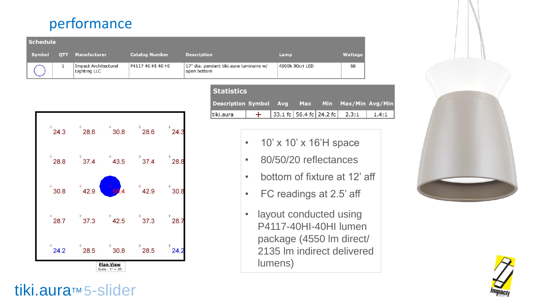## performance

| <b>Schedule</b> |            |                                             |                       |                                                        |                 |         |
|-----------------|------------|---------------------------------------------|-----------------------|--------------------------------------------------------|-----------------|---------|
| Symbol          | <b>OTY</b> | Manufacturer                                | <b>Catalog Number</b> | <b>Description</b>                                     | Lamp            | Wattage |
|                 |            | <b>Impact Architectural</b><br>Lighting LLC | P4117 40 HI 40 HI     | 17" dia. pendant tiki.aura luminaire w/<br>open bottom | 4000k 90cri LED | 68      |



#### **Statistics Description Symbol** Max/Min Avg/Min Max **Min** Avg 33.1 fc 56.4 fc 24.2 fc tiki.aura  $+$  $2.3:1$  $1.4:1$

- 10' x 10' x 16'H space
- 80/50/20 reflectances
- bottom of fixture at 12' aff
- FC readings at 2.5' aff
- layout conducted using P4117-40HI-40HI lumen package (4550 lm direct/ 2135 lm indirect delivered lumens)





# tiki.aura™ 5-slider